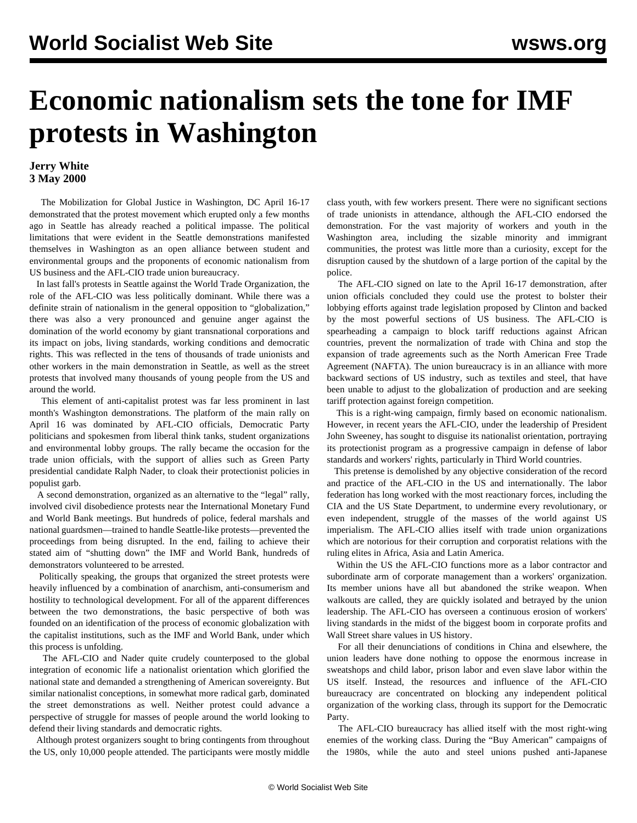## **Economic nationalism sets the tone for IMF protests in Washington**

## **Jerry White 3 May 2000**

 The Mobilization for Global Justice in Washington, DC April 16-17 demonstrated that the protest movement which erupted only a few months ago in Seattle has already reached a political impasse. The political limitations that were evident in the Seattle demonstrations manifested themselves in Washington as an open alliance between student and environmental groups and the proponents of economic nationalism from US business and the AFL-CIO trade union bureaucracy.

 In last fall's protests in Seattle against the World Trade Organization, the role of the AFL-CIO was less politically dominant. While there was a definite strain of nationalism in the general opposition to "globalization," there was also a very pronounced and genuine anger against the domination of the world economy by giant transnational corporations and its impact on jobs, living standards, working conditions and democratic rights. This was reflected in the tens of thousands of trade unionists and other workers in the main demonstration in Seattle, as well as the street protests that involved many thousands of young people from the US and around the world.

 This element of anti-capitalist protest was far less prominent in last month's Washington demonstrations. The platform of the main rally on April 16 was dominated by AFL-CIO officials, Democratic Party politicians and spokesmen from liberal think tanks, student organizations and environmental lobby groups. The rally became the occasion for the trade union officials, with the support of allies such as Green Party presidential candidate Ralph Nader, to cloak their protectionist policies in populist garb.

 A second demonstration, organized as an alternative to the "legal" rally, involved civil disobedience protests near the International Monetary Fund and World Bank meetings. But hundreds of police, federal marshals and national guardsmen—trained to handle Seattle-like protests—prevented the proceedings from being disrupted. In the end, failing to achieve their stated aim of "shutting down" the IMF and World Bank, hundreds of demonstrators volunteered to be arrested.

 Politically speaking, the groups that organized the street protests were heavily influenced by a combination of anarchism, anti-consumerism and hostility to technological development. For all of the apparent differences between the two demonstrations, the basic perspective of both was founded on an identification of the process of economic globalization with the capitalist institutions, such as the IMF and World Bank, under which this process is unfolding.

 The AFL-CIO and Nader quite crudely counterposed to the global integration of economic life a nationalist orientation which glorified the national state and demanded a strengthening of American sovereignty. But similar nationalist conceptions, in somewhat more radical garb, dominated the street demonstrations as well. Neither protest could advance a perspective of struggle for masses of people around the world looking to defend their living standards and democratic rights.

 Although protest organizers sought to bring contingents from throughout the US, only 10,000 people attended. The participants were mostly middle

class youth, with few workers present. There were no significant sections of trade unionists in attendance, although the AFL-CIO endorsed the demonstration. For the vast majority of workers and youth in the Washington area, including the sizable minority and immigrant communities, the protest was little more than a curiosity, except for the disruption caused by the shutdown of a large portion of the capital by the police.

 The AFL-CIO signed on late to the April 16-17 demonstration, after union officials concluded they could use the protest to bolster their lobbying efforts against trade legislation proposed by Clinton and backed by the most powerful sections of US business. The AFL-CIO is spearheading a campaign to block tariff reductions against African countries, prevent the normalization of trade with China and stop the expansion of trade agreements such as the North American Free Trade Agreement (NAFTA). The union bureaucracy is in an alliance with more backward sections of US industry, such as textiles and steel, that have been unable to adjust to the globalization of production and are seeking tariff protection against foreign competition.

 This is a right-wing campaign, firmly based on economic nationalism. However, in recent years the AFL-CIO, under the leadership of President John Sweeney, has sought to disguise its nationalist orientation, portraying its protectionist program as a progressive campaign in defense of labor standards and workers' rights, particularly in Third World countries.

 This pretense is demolished by any objective consideration of the record and practice of the AFL-CIO in the US and internationally. The labor federation has long worked with the most reactionary forces, including the CIA and the US State Department, to undermine every revolutionary, or even independent, struggle of the masses of the world against US imperialism. The AFL-CIO allies itself with trade union organizations which are notorious for their corruption and corporatist relations with the ruling elites in Africa, Asia and Latin America.

 Within the US the AFL-CIO functions more as a labor contractor and subordinate arm of corporate management than a workers' organization. Its member unions have all but abandoned the strike weapon. When walkouts are called, they are quickly isolated and betrayed by the union leadership. The AFL-CIO has overseen a continuous erosion of workers' living standards in the midst of the biggest boom in corporate profits and Wall Street share values in US history.

 For all their denunciations of conditions in China and elsewhere, the union leaders have done nothing to oppose the enormous increase in sweatshops and child labor, prison labor and even slave labor within the US itself. Instead, the resources and influence of the AFL-CIO bureaucracy are concentrated on blocking any independent political organization of the working class, through its support for the Democratic Party.

 The AFL-CIO bureaucracy has allied itself with the most right-wing enemies of the working class. During the "Buy American" campaigns of the 1980s, while the auto and steel unions pushed anti-Japanese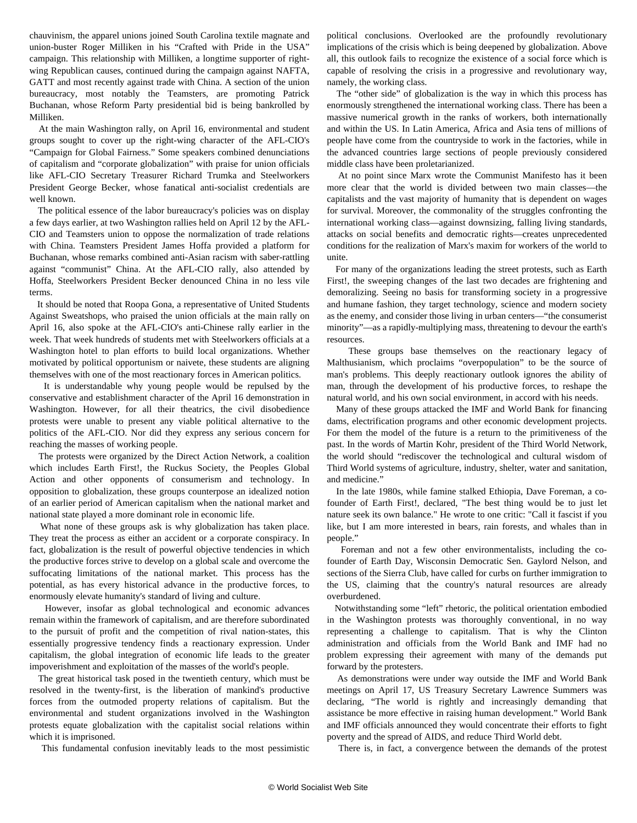chauvinism, the apparel unions joined South Carolina textile magnate and union-buster Roger Milliken in his "Crafted with Pride in the USA" campaign. This relationship with Milliken, a longtime supporter of rightwing Republican causes, continued during the campaign against NAFTA, GATT and most recently against trade with China. A section of the union bureaucracy, most notably the Teamsters, are promoting Patrick Buchanan, whose Reform Party presidential bid is being bankrolled by Milliken.

 At the main Washington rally, on April 16, environmental and student groups sought to cover up the right-wing character of the AFL-CIO's "Campaign for Global Fairness." Some speakers combined denunciations of capitalism and "corporate globalization" with praise for union officials like AFL-CIO Secretary Treasurer Richard Trumka and Steelworkers President George Becker, whose fanatical anti-socialist credentials are well known.

 The political essence of the labor bureaucracy's policies was on display a few days earlier, at two Washington rallies held on April 12 by the AFL-CIO and Teamsters union to oppose the normalization of trade relations with China. Teamsters President James Hoffa provided a platform for Buchanan, whose remarks combined anti-Asian racism with saber-rattling against "communist" China. At the AFL-CIO rally, also attended by Hoffa, Steelworkers President Becker denounced China in no less vile terms.

 It should be noted that Roopa Gona, a representative of United Students Against Sweatshops, who praised the union officials at the main rally on April 16, also spoke at the AFL-CIO's anti-Chinese rally earlier in the week. That week hundreds of students met with Steelworkers officials at a Washington hotel to plan efforts to build local organizations. Whether motivated by political opportunism or naivete, these students are aligning themselves with one of the most reactionary forces in American politics.

 It is understandable why young people would be repulsed by the conservative and establishment character of the April 16 demonstration in Washington. However, for all their theatrics, the civil disobedience protests were unable to present any viable political alternative to the politics of the AFL-CIO. Nor did they express any serious concern for reaching the masses of working people.

 The protests were organized by the Direct Action Network, a coalition which includes Earth First!, the Ruckus Society, the Peoples Global Action and other opponents of consumerism and technology. In opposition to globalization, these groups counterpose an idealized notion of an earlier period of American capitalism when the national market and national state played a more dominant role in economic life.

 What none of these groups ask is why globalization has taken place. They treat the process as either an accident or a corporate conspiracy. In fact, globalization is the result of powerful objective tendencies in which the productive forces strive to develop on a global scale and overcome the suffocating limitations of the national market. This process has the potential, as has every historical advance in the productive forces, to enormously elevate humanity's standard of living and culture.

 However, insofar as global technological and economic advances remain within the framework of capitalism, and are therefore subordinated to the pursuit of profit and the competition of rival nation-states, this essentially progressive tendency finds a reactionary expression. Under capitalism, the global integration of economic life leads to the greater impoverishment and exploitation of the masses of the world's people.

 The great historical task posed in the twentieth century, which must be resolved in the twenty-first, is the liberation of mankind's productive forces from the outmoded property relations of capitalism. But the environmental and student organizations involved in the Washington protests equate globalization with the capitalist social relations within which it is imprisoned.

This fundamental confusion inevitably leads to the most pessimistic

political conclusions. Overlooked are the profoundly revolutionary implications of the crisis which is being deepened by globalization. Above all, this outlook fails to recognize the existence of a social force which is capable of resolving the crisis in a progressive and revolutionary way, namely, the working class.

 The "other side" of globalization is the way in which this process has enormously strengthened the international working class. There has been a massive numerical growth in the ranks of workers, both internationally and within the US. In Latin America, Africa and Asia tens of millions of people have come from the countryside to work in the factories, while in the advanced countries large sections of people previously considered middle class have been proletarianized.

 At no point since Marx wrote the Communist Manifesto has it been more clear that the world is divided between two main classes—the capitalists and the vast majority of humanity that is dependent on wages for survival. Moreover, the commonality of the struggles confronting the international working class—against downsizing, falling living standards, attacks on social benefits and democratic rights—creates unprecedented conditions for the realization of Marx's maxim for workers of the world to unite.

 For many of the organizations leading the street protests, such as Earth First!, the sweeping changes of the last two decades are frightening and demoralizing. Seeing no basis for transforming society in a progressive and humane fashion, they target technology, science and modern society as the enemy, and consider those living in urban centers—"the consumerist minority"—as a rapidly-multiplying mass, threatening to devour the earth's resources.

 These groups base themselves on the reactionary legacy of Malthusianism, which proclaims "overpopulation" to be the source of man's problems. This deeply reactionary outlook ignores the ability of man, through the development of his productive forces, to reshape the natural world, and his own social environment, in accord with his needs.

 Many of these groups attacked the IMF and World Bank for financing dams, electrification programs and other economic development projects. For them the model of the future is a return to the primitiveness of the past. In the words of Martin Kohr, president of the Third World Network, the world should "rediscover the technological and cultural wisdom of Third World systems of agriculture, industry, shelter, water and sanitation, and medicine."

 In the late 1980s, while famine stalked Ethiopia, Dave Foreman, a cofounder of Earth First!, declared, "The best thing would be to just let nature seek its own balance." He wrote to one critic: "Call it fascist if you like, but I am more interested in bears, rain forests, and whales than in people."

 Foreman and not a few other environmentalists, including the cofounder of Earth Day, Wisconsin Democratic Sen. Gaylord Nelson, and sections of the Sierra Club, have called for curbs on further immigration to the US, claiming that the country's natural resources are already overburdened.

 Notwithstanding some "left" rhetoric, the political orientation embodied in the Washington protests was thoroughly conventional, in no way representing a challenge to capitalism. That is why the Clinton administration and officials from the World Bank and IMF had no problem expressing their agreement with many of the demands put forward by the protesters.

 As demonstrations were under way outside the IMF and World Bank meetings on April 17, US Treasury Secretary Lawrence Summers was declaring, "The world is rightly and increasingly demanding that assistance be more effective in raising human development." World Bank and IMF officials announced they would concentrate their efforts to fight poverty and the spread of AIDS, and reduce Third World debt.

There is, in fact, a convergence between the demands of the protest